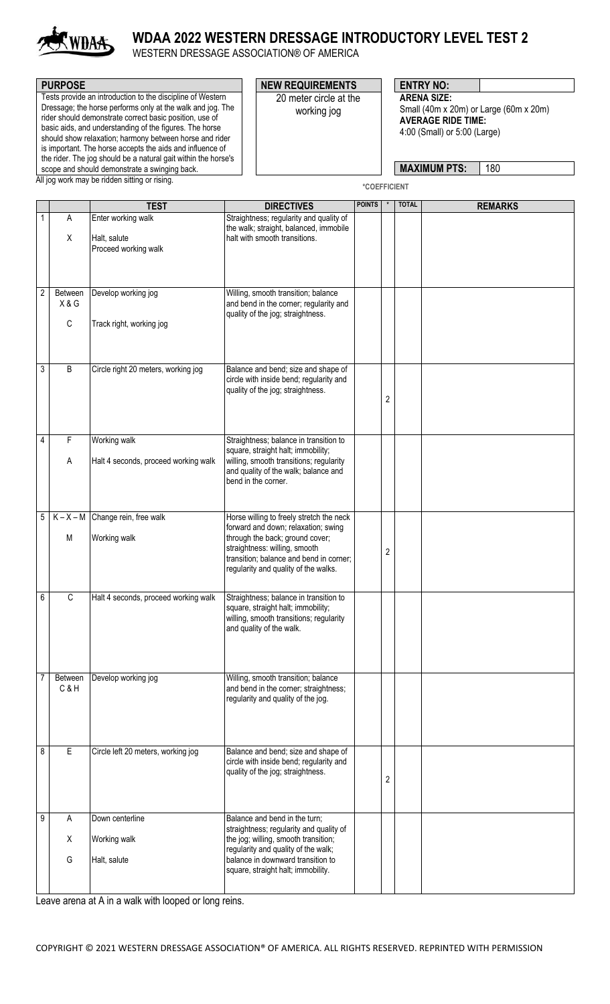

## **WDAA 2022 WESTERN DRESSAGE INTRODUCTORY LEVEL TEST 2**

WESTERN DRESSAGE ASSOCIATION® OF AMERICA

| <b>PURPOSE</b>                                                                                                                                                                                                                                                                                                                                                                                                                           | <b>NEW REQUIREMENTS</b>               | <b>ENTRY NO:</b>                                                                                                          |
|------------------------------------------------------------------------------------------------------------------------------------------------------------------------------------------------------------------------------------------------------------------------------------------------------------------------------------------------------------------------------------------------------------------------------------------|---------------------------------------|---------------------------------------------------------------------------------------------------------------------------|
| Tests provide an introduction to the discipline of Western<br>Dressage; the horse performs only at the walk and jog. The<br>rider should demonstrate correct basic position, use of<br>basic aids, and understanding of the figures. The horse<br>should show relaxation; harmony between horse and rider<br>is important. The horse accepts the aids and influence of<br>the rider. The jog should be a natural gait within the horse's | 20 meter circle at the<br>working jog | <b>ARENA SIZE:</b><br>Small (40m x 20m) or Large (60m x 20m)<br><b>AVERAGE RIDE TIME:</b><br>4:00 (Small) or 5:00 (Large) |
| scope and should demonstrate a swinging back.                                                                                                                                                                                                                                                                                                                                                                                            |                                       | 180<br><b>MAXIMUM PTS:</b>                                                                                                |

scope and should demonstrate a swinging back. All jog work may be ridden sitting or rising.

**\*COEFFICIENT**

|                |                | <b>TEST</b>                          | <b>DIRECTIVES</b>                                                                                                                                   | <b>POINTS</b> | $^\star$ | <b>TOTAL</b> | <b>REMARKS</b> |
|----------------|----------------|--------------------------------------|-----------------------------------------------------------------------------------------------------------------------------------------------------|---------------|----------|--------------|----------------|
| 1              | A              | Enter working walk                   | Straightness; regularity and quality of                                                                                                             |               |          |              |                |
|                | X              | Halt, salute<br>Proceed working walk | the walk; straight, balanced, immobile<br>halt with smooth transitions.                                                                             |               |          |              |                |
|                |                |                                      |                                                                                                                                                     |               |          |              |                |
| $\overline{2}$ | Between<br>X&G | Develop working jog                  | Willing, smooth transition; balance<br>and bend in the corner; regularity and<br>quality of the jog; straightness.                                  |               |          |              |                |
|                | $\mathsf C$    | Track right, working jog             |                                                                                                                                                     |               |          |              |                |
| 3              | B              | Circle right 20 meters, working jog  | Balance and bend; size and shape of<br>circle with inside bend; regularity and<br>quality of the jog; straightness.                                 |               | 2        |              |                |
| 4              | F              | Working walk                         | Straightness; balance in transition to                                                                                                              |               |          |              |                |
|                | A              | Halt 4 seconds, proceed working walk | square, straight halt; immobility;<br>willing, smooth transitions; regularity<br>and quality of the walk; balance and<br>bend in the corner.        |               |          |              |                |
| 5              | $K - X - M$    | Change rein, free walk               | Horse willing to freely stretch the neck                                                                                                            |               |          |              |                |
|                |                |                                      | forward and down; relaxation; swing                                                                                                                 |               |          |              |                |
|                | M              | Working walk                         | through the back; ground cover;<br>straightness: willing, smooth<br>transition; balance and bend in corner;<br>regularity and quality of the walks. |               | 2        |              |                |
| 6              | $\mathsf C$    | Halt 4 seconds, proceed working walk | Straightness; balance in transition to<br>square, straight halt; immobility;<br>willing, smooth transitions; regularity<br>and quality of the walk. |               |          |              |                |
| 7              | Between<br>C&H | Develop working jog                  | Willing, smooth transition; balance<br>and bend in the corner; straightness;<br>regularity and quality of the jog.                                  |               |          |              |                |
| 8              | E              | Circle left 20 meters, working jog   | Balance and bend; size and shape of<br>circle with inside bend; regularity and<br>quality of the jog; straightness.                                 |               | 2        |              |                |
| 9              | A              | Down centerline                      | Balance and bend in the turn;                                                                                                                       |               |          |              |                |
|                | X              | Working walk                         | straightness; regularity and quality of<br>the jog; willing, smooth transition;<br>regularity and quality of the walk;                              |               |          |              |                |
|                | G              | Halt, salute                         | balance in downward transition to<br>square, straight halt; immobility.                                                                             |               |          |              |                |
|                |                |                                      |                                                                                                                                                     |               |          |              |                |

Leave arena at A in a walk with looped or long reins.